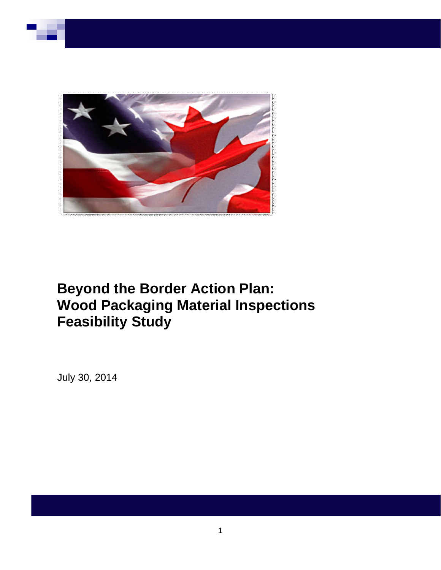

# **Beyond the Border Action Plan: Wood Packaging Material Inspections Feasibility Study**

July 30, 2014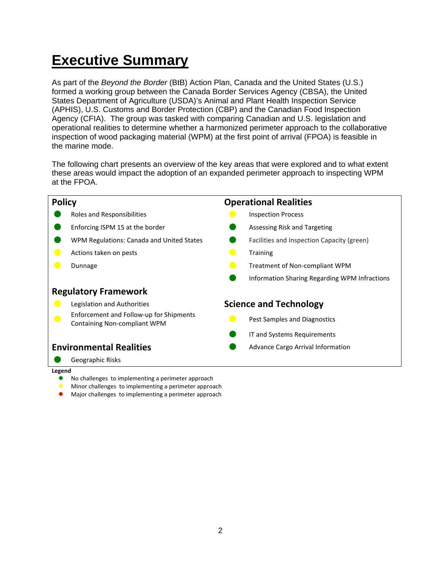# **Executive Summary**

As part of the *Beyond the Border* (BtB) Action Plan, Canada and the United States (U.S.) formed a working group between the Canada Border Services Agency (CBSA), the United States Department of Agriculture (USDA)'s Animal and Plant Health Inspection Service (APHIS), U.S. Customs and Border Protection (CBP) and the Canadian Food Inspection Agency (CFIA). The group was tasked with comparing Canadian and U.S. legislation and operational realities to determine whether a harmonized perimeter approach to the collaborative inspection of wood packaging material (WPM) at the first point of arrival (FPOA) is feasible in the marine mode.

The following chart presents an overview of the key areas that were explored and to what extent these areas would impact the adoption of an expanded perimeter approach to inspecting WPM at the FPOA.



#### **Legend**

- No challenges to implementing a perimeter approach
- Minor challenges to implementing a perimeter approach
- Major challenges to implementing a perimeter approach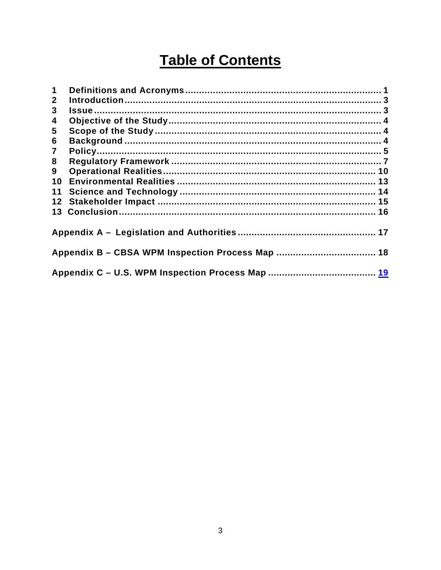# **Table of Contents**

| $\mathbf 1$  |  |  |
|--------------|--|--|
| $\mathbf{2}$ |  |  |
| 3            |  |  |
| 4            |  |  |
| 5            |  |  |
| 6            |  |  |
| $\mathbf{7}$ |  |  |
| 8            |  |  |
| 9            |  |  |
| 10           |  |  |
| 11           |  |  |
| 12           |  |  |
| 13           |  |  |
|              |  |  |
|              |  |  |
|              |  |  |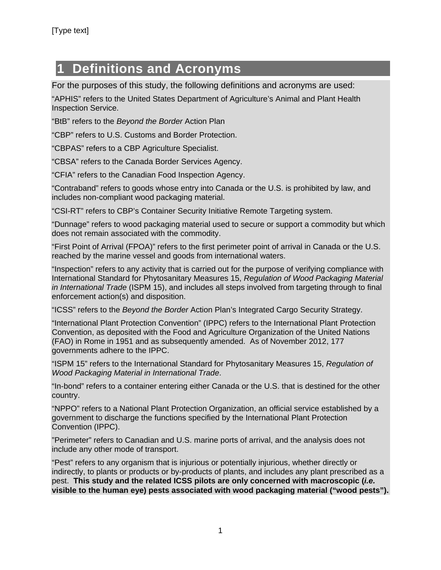# **1 Definitions and Acronyms**

For the purposes of this study, the following definitions and acronyms are used:

"APHIS" refers to the United States Department of Agriculture's Animal and Plant Health Inspection Service.

"BtB" refers to the *Beyond the Border* Action Plan

"CBP" refers to U.S. Customs and Border Protection.

"CBPAS" refers to a CBP Agriculture Specialist.

"CBSA" refers to the Canada Border Services Agency.

"CFIA" refers to the Canadian Food Inspection Agency.

"Contraband" refers to goods whose entry into Canada or the U.S. is prohibited by law, and includes non-compliant wood packaging material.

"CSI-RT" refers to CBP's Container Security Initiative Remote Targeting system.

"Dunnage" refers to wood packaging material used to secure or support a commodity but which does not remain associated with the commodity.

"First Point of Arrival (FPOA)" refers to the first perimeter point of arrival in Canada or the U.S. reached by the marine vessel and goods from international waters.

"Inspection" refers to any activity that is carried out for the purpose of verifying compliance with International Standard for Phytosanitary Measures 15, *Regulation of Wood Packaging Material in International Trade* (ISPM 15), and includes all steps involved from targeting through to final enforcement action(s) and disposition.

"ICSS" refers to the *Beyond the Border* Action Plan's Integrated Cargo Security Strategy.

"International Plant Protection Convention" (IPPC) refers to the International Plant Protection Convention, as deposited with the Food and Agriculture Organization of the United Nations (FAO) in Rome in 1951 and as subsequently amended. As of November 2012, 177 governments adhere to the IPPC.

"ISPM 15" refers to the International Standard for Phytosanitary Measures 15, *Regulation of Wood Packaging Material in International Trade*.

"In-bond" refers to a container entering either Canada or the U.S. that is destined for the other country.

"NPPO" refers to a National Plant Protection Organization, an official service established by a government to discharge the functions specified by the International Plant Protection Convention (IPPC).

"Perimeter" refers to Canadian and U.S. marine ports of arrival, and the analysis does not include any other mode of transport.

"Pest" refers to any organism that is injurious or potentially injurious, whether directly or indirectly, to plants or products or by-products of plants, and includes any plant prescribed as a pest. **This study and the related ICSS pilots are only concerned with macroscopic (***i.e.* **visible to the human eye) pests associated with wood packaging material ("wood pests").**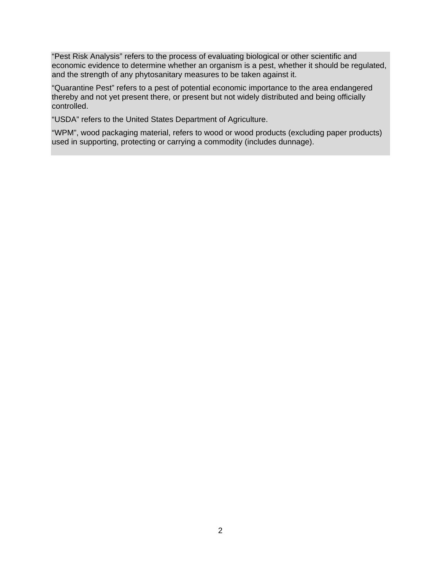"Pest Risk Analysis" refers to the process of evaluating biological or other scientific and economic evidence to determine whether an organism is a pest, whether it should be regulated, and the strength of any phytosanitary measures to be taken against it.

"Quarantine Pest" refers to a pest of potential economic importance to the area endangered thereby and not yet present there, or present but not widely distributed and being officially controlled.

"USDA" refers to the United States Department of Agriculture.

"WPM", wood packaging material, refers to wood or wood products (excluding paper products) used in supporting, protecting or carrying a commodity (includes dunnage).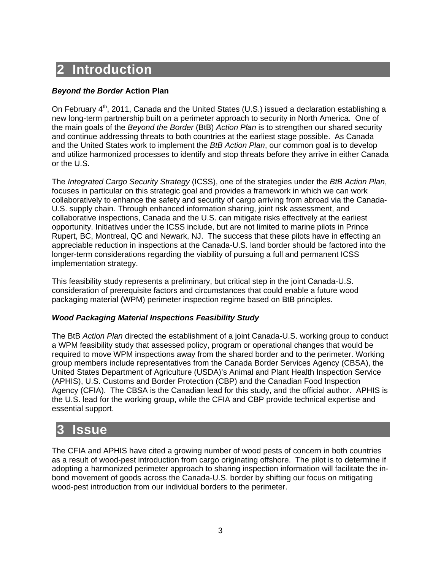# **2 Introduction**

### *Beyond the Border* **Action Plan**

On February  $4<sup>th</sup>$ , 2011, Canada and the United States (U.S.) issued a declaration establishing a new long-term partnership built on a perimeter approach to security in North America. One of the main goals of the *Beyond the Border* (BtB) *Action Plan* is to strengthen our shared security and continue addressing threats to both countries at the earliest stage possible. As Canada and the United States work to implement the *BtB Action Plan*, our common goal is to develop and utilize harmonized processes to identify and stop threats before they arrive in either Canada or the U.S.

The *Integrated Cargo Security Strategy* (ICSS), one of the strategies under the *BtB Action Plan*, focuses in particular on this strategic goal and provides a framework in which we can work collaboratively to enhance the safety and security of cargo arriving from abroad via the Canada-U.S. supply chain. Through enhanced information sharing, joint risk assessment, and collaborative inspections, Canada and the U.S. can mitigate risks effectively at the earliest opportunity. Initiatives under the ICSS include, but are not limited to marine pilots in Prince Rupert, BC, Montreal, QC and Newark, NJ. The success that these pilots have in effecting an appreciable reduction in inspections at the Canada-U.S. land border should be factored into the longer-term considerations regarding the viability of pursuing a full and permanent ICSS implementation strategy.

This feasibility study represents a preliminary, but critical step in the joint Canada-U.S. consideration of prerequisite factors and circumstances that could enable a future wood packaging material (WPM) perimeter inspection regime based on BtB principles.

### *Wood Packaging Material Inspections Feasibility Study*

The BtB *Action Plan* directed the establishment of a joint Canada-U.S. working group to conduct a WPM feasibility study that assessed policy, program or operational changes that would be required to move WPM inspections away from the shared border and to the perimeter. Working group members include representatives from the Canada Border Services Agency (CBSA), the United States Department of Agriculture (USDA)'s Animal and Plant Health Inspection Service (APHIS), U.S. Customs and Border Protection (CBP) and the Canadian Food Inspection Agency (CFIA). The CBSA is the Canadian lead for this study, and the official author. APHIS is the U.S. lead for the working group, while the CFIA and CBP provide technical expertise and essential support.

# **3 Issue**

The CFIA and APHIS have cited a growing number of wood pests of concern in both countries as a result of wood-pest introduction from cargo originating offshore. The pilot is to determine if adopting a harmonized perimeter approach to sharing inspection information will facilitate the inbond movement of goods across the Canada-U.S. border by shifting our focus on mitigating wood-pest introduction from our individual borders to the perimeter.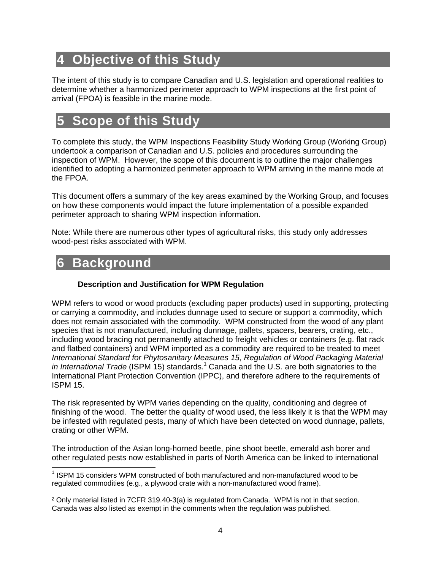# **4 Objective of this Study**

The intent of this study is to compare Canadian and U.S. legislation and operational realities to determine whether a harmonized perimeter approach to WPM inspections at the first point of arrival (FPOA) is feasible in the marine mode.

# **5 Scope of this Study**

To complete this study, the WPM Inspections Feasibility Study Working Group (Working Group) undertook a comparison of Canadian and U.S. policies and procedures surrounding the inspection of WPM. However, the scope of this document is to outline the major challenges identified to adopting a harmonized perimeter approach to WPM arriving in the marine mode at the FPOA.

This document offers a summary of the key areas examined by the Working Group, and focuses on how these components would impact the future implementation of a possible expanded perimeter approach to sharing WPM inspection information.

Note: While there are numerous other types of agricultural risks, this study only addresses wood-pest risks associated with WPM.

# **6 Background**

## **Description and Justification for WPM Regulation**

WPM refers to wood or wood products (excluding paper products) used in supporting, protecting or carrying a commodity, and includes dunnage used to secure or support a commodity, which does not remain associated with the commodity. WPM constructed from the wood of any plant species that is not manufactured, including dunnage, pallets, spacers, bearers, crating, etc., including wood bracing not permanently attached to freight vehicles or containers (e.g. flat rack and flatbed containers) and WPM imported as a commodity are required to be treated to meet *International Standard for Phytosanitary Measures 15*, *Regulation of Wood Packaging Material*  in International Trade (ISPM 15) standards.<sup>1</sup> Canada and the U.S. are both signatories to the International Plant Protection Convention (IPPC), and therefore adhere to the requirements of ISPM 15.

The risk represented by WPM varies depending on the quality, conditioning and degree of finishing of the wood. The better the quality of wood used, the less likely it is that the WPM may be infested with regulated pests, many of which have been detected on wood dunnage, pallets, crating or other WPM.

The introduction of the Asian long-horned beetle, pine shoot beetle, emerald ash borer and other regulated pests now established in parts of North America can be linked to international

<sup>-</sup><sup>1</sup> ISPM 15 considers WPM constructed of both manufactured and non-manufactured wood to be regulated commodities (e.g., a plywood crate with a non-manufactured wood frame).

² Only material listed in 7CFR 319.40-3(a) is regulated from Canada. WPM is not in that section. Canada was also listed as exempt in the comments when the regulation was published.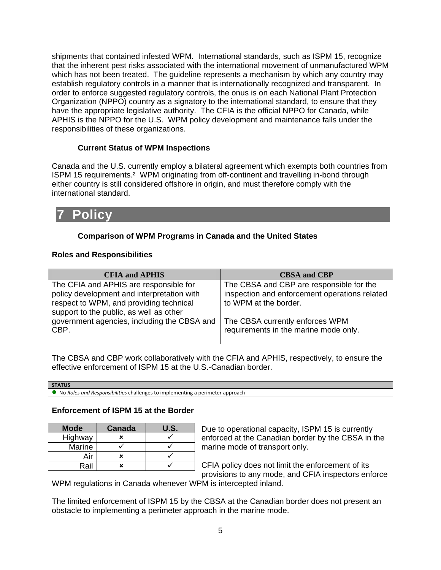shipments that contained infested WPM. International standards, such as ISPM 15, recognize that the inherent pest risks associated with the international movement of unmanufactured WPM which has not been treated. The guideline represents a mechanism by which any country may establish regulatory controls in a manner that is internationally recognized and transparent. In order to enforce suggested regulatory controls, the onus is on each National Plant Protection Organization (NPPO) country as a signatory to the international standard, to ensure that they have the appropriate legislative authority. The CFIA is the official NPPO for Canada, while APHIS is the NPPO for the U.S. WPM policy development and maintenance falls under the responsibilities of these organizations.

### **Current Status of WPM Inspections**

Canada and the U.S. currently employ a bilateral agreement which exempts both countries from ISPM 15 requirements.² WPM originating from off-continent and travelling in-bond through either country is still considered offshore in origin, and must therefore comply with the international standard.

# **7 Policy**

## **Comparison of WPM Programs in Canada and the United States**

### **Roles and Responsibilities**

| <b>CFIA and APHIS</b>                       | <b>CBSA and CBP</b>                           |
|---------------------------------------------|-----------------------------------------------|
|                                             |                                               |
| The CFIA and APHIS are responsible for      | The CBSA and CBP are responsible for the      |
| policy development and interpretation with  | inspection and enforcement operations related |
| respect to WPM, and providing technical     | to WPM at the border.                         |
| support to the public, as well as other     |                                               |
| government agencies, including the CBSA and | The CBSA currently enforces WPM               |
| CBP.                                        | requirements in the marine mode only.         |
|                                             |                                               |

The CBSA and CBP work collaboratively with the CFIA and APHIS, respectively, to ensure the effective enforcement of ISPM 15 at the U.S.-Canadian border.

| i perimeter approach<br>, implementing<br>challenges<br>s and Responsibilities.<br>, Roles<br>NC.<br>. |  |
|--------------------------------------------------------------------------------------------------------|--|

### **Enforcement of ISPM 15 at the Border**

| <b>Mode</b> | <b>Canada</b> | U.S. |
|-------------|---------------|------|
| Highway     | ×             |      |
| Marine      |               |      |
| Air         | ×             |      |
| Rail        |               |      |

Due to operational capacity, ISPM 15 is currently enforced at the Canadian border by the CBSA in the marine mode of transport only.

CFIA policy does not limit the enforcement of its provisions to any mode, and CFIA inspectors enforce

WPM regulations in Canada whenever WPM is intercepted inland.

The limited enforcement of ISPM 15 by the CBSA at the Canadian border does not present an obstacle to implementing a perimeter approach in the marine mode.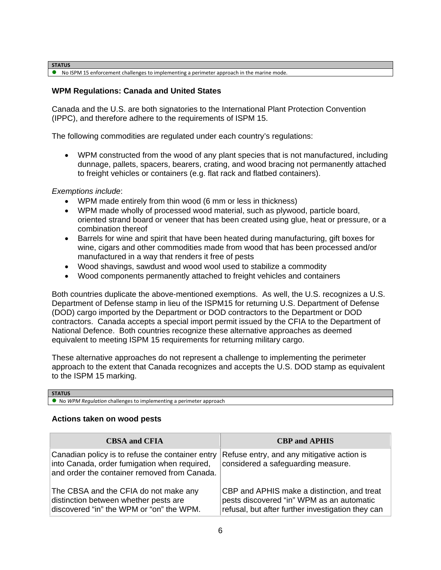**STATUS**

No ISPM 15 enforcement challenges to implementing a perimeter approach in the marine mode.

### **WPM Regulations: Canada and United States**

Canada and the U.S. are both signatories to the International Plant Protection Convention (IPPC), and therefore adhere to the requirements of ISPM 15.

The following commodities are regulated under each country's regulations:

 WPM constructed from the wood of any plant species that is not manufactured, including dunnage, pallets, spacers, bearers, crating, and wood bracing not permanently attached to freight vehicles or containers (e.g. flat rack and flatbed containers).

*Exemptions include*:

- WPM made entirely from thin wood (6 mm or less in thickness)
- WPM made wholly of processed wood material, such as plywood, particle board, oriented strand board or veneer that has been created using glue, heat or pressure, or a combination thereof
- Barrels for wine and spirit that have been heated during manufacturing, gift boxes for wine, cigars and other commodities made from wood that has been processed and/or manufactured in a way that renders it free of pests
- Wood shavings, sawdust and wood wool used to stabilize a commodity
- Wood components permanently attached to freight vehicles and containers

Both countries duplicate the above-mentioned exemptions. As well, the U.S. recognizes a U.S. Department of Defense stamp in lieu of the ISPM15 for returning U.S. Department of Defense (DOD) cargo imported by the Department or DOD contractors to the Department or DOD contractors. Canada accepts a special import permit issued by the CFIA to the Department of National Defence. Both countries recognize these alternative approaches as deemed equivalent to meeting ISPM 15 requirements for returning military cargo.

These alternative approaches do not represent a challenge to implementing the perimeter approach to the extent that Canada recognizes and accepts the U.S. DOD stamp as equivalent to the ISPM 15 marking.

No *WPM Regulation* challenges to implementing a perimeter approach

#### **Actions taken on wood pests**

| <b>CBSA and CFIA</b>                                                                                                                             | <b>CBP</b> and <b>APHIS</b>                                                                                                                   |
|--------------------------------------------------------------------------------------------------------------------------------------------------|-----------------------------------------------------------------------------------------------------------------------------------------------|
| Canadian policy is to refuse the container entry<br>into Canada, order fumigation when required,<br>and order the container removed from Canada. | Refuse entry, and any mitigative action is<br>considered a safeguarding measure.                                                              |
| The CBSA and the CFIA do not make any<br>distinction between whether pests are<br>discovered "in" the WPM or "on" the WPM.                       | CBP and APHIS make a distinction, and treat<br>pests discovered "in" WPM as an automatic<br>refusal, but after further investigation they can |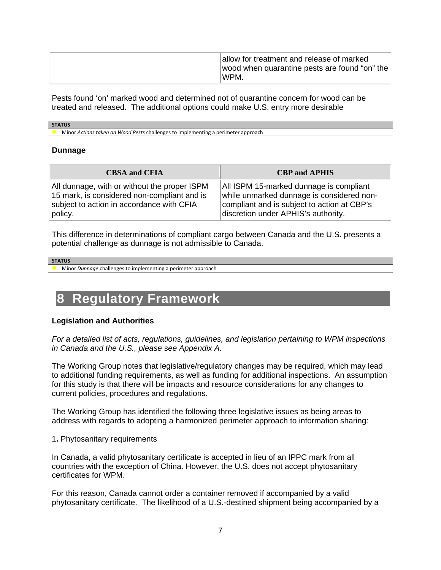Pests found 'on' marked wood and determined not of quarantine concern for wood can be treated and released. The additional options could make U.S. entry more desirable

#### **STATUS**

Minor *Actions taken on Wood Pests* challenges to implementing a perimeter approach

#### **Dunnage**

| <b>CBSA and CFIA</b>                         | <b>CBP</b> and <b>APHIS</b>                 |
|----------------------------------------------|---------------------------------------------|
| All dunnage, with or without the proper ISPM | All ISPM 15-marked dunnage is compliant     |
| 15 mark, is considered non-compliant and is  | while unmarked dunnage is considered non-   |
| subject to action in accordance with CFIA    | compliant and is subject to action at CBP's |
| policy.                                      | discretion under APHIS's authority.         |

This difference in determinations of compliant cargo between Canada and the U.S. presents a potential challenge as dunnage is not admissible to Canada.

#### **STATUS**

Minor *Dunnage* challenges to implementing a perimeter approach

# **8 Regulatory Framework**

#### **Legislation and Authorities**

*For a detailed list of acts, regulations, guidelines, and legislation pertaining to WPM inspections in Canada and the U.S., please see Appendix A.* 

The Working Group notes that legislative/regulatory changes may be required, which may lead to additional funding requirements, as well as funding for additional inspections. An assumption for this study is that there will be impacts and resource considerations for any changes to current policies, procedures and regulations.

The Working Group has identified the following three legislative issues as being areas to address with regards to adopting a harmonized perimeter approach to information sharing:

1**.** Phytosanitary requirements

In Canada, a valid phytosanitary certificate is accepted in lieu of an IPPC mark from all countries with the exception of China. However, the U.S. does not accept phytosanitary certificates for WPM.

For this reason, Canada cannot order a container removed if accompanied by a valid phytosanitary certificate. The likelihood of a U.S.-destined shipment being accompanied by a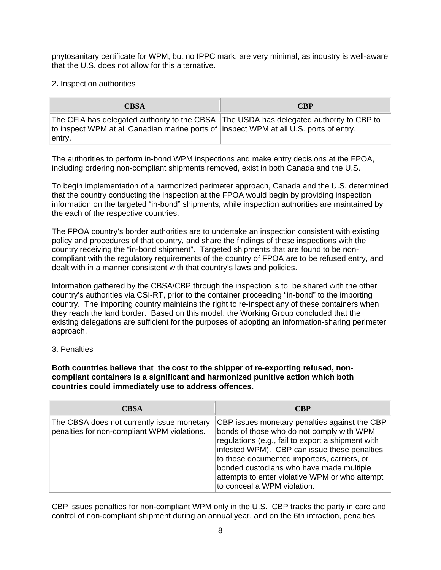phytosanitary certificate for WPM, but no IPPC mark, are very minimal, as industry is well-aware that the U.S. does not allow for this alternative.

2**.** Inspection authorities

| CBSA                                                                                                                                                                                         | <b>CBP</b> |
|----------------------------------------------------------------------------------------------------------------------------------------------------------------------------------------------|------------|
| The CFIA has delegated authority to the CBSA The USDA has delegated authority to CBP to<br>to inspect WPM at all Canadian marine ports of linspect WPM at all U.S. ports of entry.<br>entry. |            |

The authorities to perform in-bond WPM inspections and make entry decisions at the FPOA, including ordering non-compliant shipments removed, exist in both Canada and the U.S.

To begin implementation of a harmonized perimeter approach, Canada and the U.S. determined that the country conducting the inspection at the FPOA would begin by providing inspection information on the targeted "in-bond" shipments, while inspection authorities are maintained by the each of the respective countries.

The FPOA country's border authorities are to undertake an inspection consistent with existing policy and procedures of that country, and share the findings of these inspections with the country receiving the "in-bond shipment". Targeted shipments that are found to be noncompliant with the regulatory requirements of the country of FPOA are to be refused entry, and dealt with in a manner consistent with that country's laws and policies.

Information gathered by the CBSA/CBP through the inspection is to be shared with the other country's authorities via CSI-RT, prior to the container proceeding "in-bond" to the importing country. The importing country maintains the right to re-inspect any of these containers when they reach the land border. Based on this model, the Working Group concluded that the existing delegations are sufficient for the purposes of adopting an information-sharing perimeter approach.

3. Penalties

**Both countries believe that the cost to the shipper of re-exporting refused, noncompliant containers is a significant and harmonized punitive action which both countries could immediately use to address offences.** 

| <b>CBSA</b>                                                                               | <b>CBP</b>                                                                                                                                                                                                                                                                                                                                                                  |
|-------------------------------------------------------------------------------------------|-----------------------------------------------------------------------------------------------------------------------------------------------------------------------------------------------------------------------------------------------------------------------------------------------------------------------------------------------------------------------------|
| The CBSA does not currently issue monetary<br>penalties for non-compliant WPM violations. | CBP issues monetary penalties against the CBP<br>bonds of those who do not comply with WPM<br>regulations (e.g., fail to export a shipment with<br>infested WPM). CBP can issue these penalties<br>to those documented importers, carriers, or<br>bonded custodians who have made multiple<br>attempts to enter violative WPM or who attempt<br>to conceal a WPM violation. |

CBP issues penalties for non-compliant WPM only in the U.S. CBP tracks the party in care and control of non-compliant shipment during an annual year, and on the 6th infraction, penalties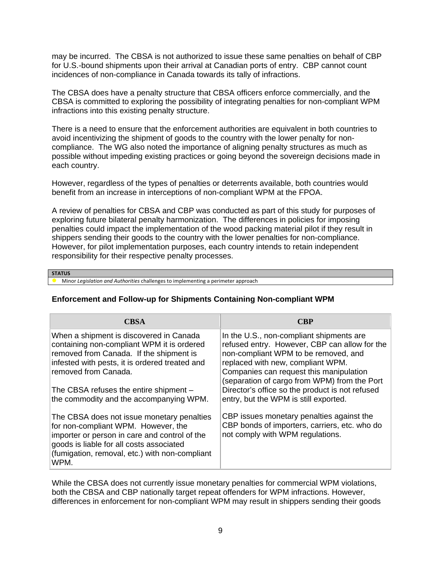may be incurred. The CBSA is not authorized to issue these same penalties on behalf of CBP for U.S.-bound shipments upon their arrival at Canadian ports of entry. CBP cannot count incidences of non-compliance in Canada towards its tally of infractions.

The CBSA does have a penalty structure that CBSA officers enforce commercially, and the CBSA is committed to exploring the possibility of integrating penalties for non-compliant WPM infractions into this existing penalty structure.

There is a need to ensure that the enforcement authorities are equivalent in both countries to avoid incentivizing the shipment of goods to the country with the lower penalty for noncompliance. The WG also noted the importance of aligning penalty structures as much as possible without impeding existing practices or going beyond the sovereign decisions made in each country.

However, regardless of the types of penalties or deterrents available, both countries would benefit from an increase in interceptions of non-compliant WPM at the FPOA.

A review of penalties for CBSA and CBP was conducted as part of this study for purposes of exploring future bilateral penalty harmonization. The differences in policies for imposing penalties could impact the implementation of the wood packing material pilot if they result in shippers sending their goods to the country with the lower penalties for non-compliance. However, for pilot implementation purposes, each country intends to retain independent responsibility for their respective penalty processes.

#### **STATUS**

Minor *Legislation and Authorities* challenges to implementing a perimeter approach

#### **Enforcement and Follow-up for Shipments Containing Non-compliant WPM**

| <b>CBSA</b>                                                                                                                                                                                                                              | <b>CBP</b>                                                                                                                                                                                                                                                        |
|------------------------------------------------------------------------------------------------------------------------------------------------------------------------------------------------------------------------------------------|-------------------------------------------------------------------------------------------------------------------------------------------------------------------------------------------------------------------------------------------------------------------|
| When a shipment is discovered in Canada<br>containing non-compliant WPM it is ordered<br>removed from Canada. If the shipment is<br>infested with pests, it is ordered treated and<br>removed from Canada.                               | In the U.S., non-compliant shipments are<br>refused entry. However, CBP can allow for the<br>non-compliant WPM to be removed, and<br>replaced with new, compliant WPM.<br>Companies can request this manipulation<br>(separation of cargo from WPM) from the Port |
| The CBSA refuses the entire shipment -<br>the commodity and the accompanying WPM.                                                                                                                                                        | Director's office so the product is not refused<br>entry, but the WPM is still exported.                                                                                                                                                                          |
| The CBSA does not issue monetary penalties<br>for non-compliant WPM. However, the<br>importer or person in care and control of the<br>goods is liable for all costs associated<br>(fumigation, removal, etc.) with non-compliant<br>WPM. | CBP issues monetary penalties against the<br>CBP bonds of importers, carriers, etc. who do<br>not comply with WPM regulations.                                                                                                                                    |

While the CBSA does not currently issue monetary penalties for commercial WPM violations, both the CBSA and CBP nationally target repeat offenders for WPM infractions. However, differences in enforcement for non-compliant WPM may result in shippers sending their goods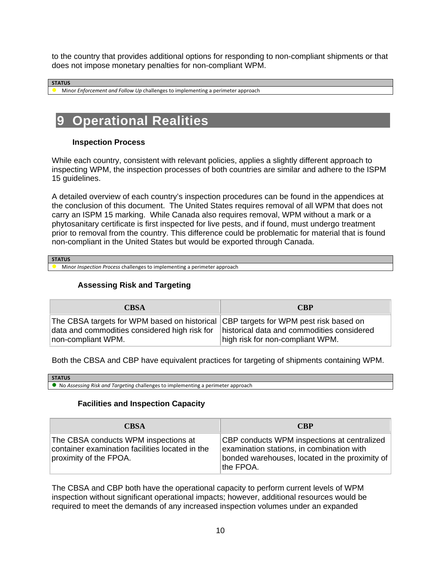to the country that provides additional options for responding to non-compliant shipments or that does not impose monetary penalties for non-compliant WPM.

#### **STATUS**

Minor *Enforcement and Follow Up* challenges to implementing a perimeter approach

# **9 Operational Realities**

#### **Inspection Process**

While each country, consistent with relevant policies, applies a slightly different approach to inspecting WPM, the inspection processes of both countries are similar and adhere to the ISPM 15 guidelines.

A detailed overview of each country's inspection procedures can be found in the appendices at the conclusion of this document. The United States requires removal of all WPM that does not carry an ISPM 15 marking. While Canada also requires removal, WPM without a mark or a phytosanitary certificate is first inspected for live pests, and if found, must undergo treatment prior to removal from the country. This difference could be problematic for material that is found non-compliant in the United States but would be exported through Canada.

**STATUS**

Minor *Inspection Process* challenges to implementing a perimeter approach

#### **Assessing Risk and Targeting**

| <b>CBSA</b>                                                                                                                                                | <b>CBP</b>                                                                     |
|------------------------------------------------------------------------------------------------------------------------------------------------------------|--------------------------------------------------------------------------------|
| The CBSA targets for WPM based on historical CBP targets for WPM pest risk based on<br>data and commodities considered high risk for<br>non-compliant WPM. | historical data and commodities considered<br>high risk for non-compliant WPM. |

Both the CBSA and CBP have equivalent practices for targeting of shipments containing WPM.

| <b>STATUS</b>                                                                                                       |
|---------------------------------------------------------------------------------------------------------------------|
| No<br>Assessina נ<br>' challenges<br>to implementing :<br>, perimeter<br>eter approach `<br>. Risk and<br>Targeting |

#### **Facilities and Inspection Capacity**

| <b>CBSA</b>                                                                                                       | <b>CBP</b>                                                                                                                                               |
|-------------------------------------------------------------------------------------------------------------------|----------------------------------------------------------------------------------------------------------------------------------------------------------|
| The CBSA conducts WPM inspections at<br>container examination facilities located in the<br>proximity of the FPOA. | CBP conducts WPM inspections at centralized<br>examination stations, in combination with<br>bonded warehouses, located in the proximity of<br>∣the FPOA. |

The CBSA and CBP both have the operational capacity to perform current levels of WPM inspection without significant operational impacts; however, additional resources would be required to meet the demands of any increased inspection volumes under an expanded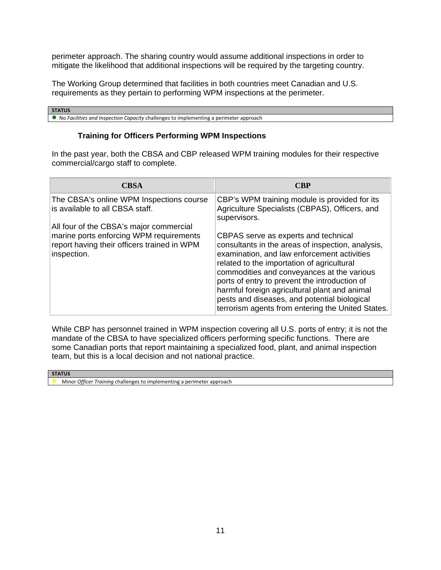perimeter approach. The sharing country would assume additional inspections in order to mitigate the likelihood that additional inspections will be required by the targeting country.

The Working Group determined that facilities in both countries meet Canadian and U.S. requirements as they pertain to performing WPM inspections at the perimeter.

#### **STATUS**

No *Facilities and Inspection Capacity* challenges to implementing a perimeter approach

#### **Training for Officers Performing WPM Inspections**

In the past year, both the CBSA and CBP released WPM training modules for their respective commercial/cargo staff to complete.

| CBSA                                                                                                                                             | CBP                                                                                                                                                                                                                                                                                                                                                                                                                                         |
|--------------------------------------------------------------------------------------------------------------------------------------------------|---------------------------------------------------------------------------------------------------------------------------------------------------------------------------------------------------------------------------------------------------------------------------------------------------------------------------------------------------------------------------------------------------------------------------------------------|
| The CBSA's online WPM Inspections course<br>is available to all CBSA staff.                                                                      | CBP's WPM training module is provided for its<br>Agriculture Specialists (CBPAS), Officers, and<br>supervisors.                                                                                                                                                                                                                                                                                                                             |
| All four of the CBSA's major commercial<br>marine ports enforcing WPM requirements<br>report having their officers trained in WPM<br>inspection. | CBPAS serve as experts and technical<br>consultants in the areas of inspection, analysis,<br>examination, and law enforcement activities<br>related to the importation of agricultural<br>commodities and conveyances at the various<br>ports of entry to prevent the introduction of<br>harmful foreign agricultural plant and animal<br>pests and diseases, and potential biological<br>terrorism agents from entering the United States. |

While CBP has personnel trained in WPM inspection covering all U.S. ports of entry; it is not the mandate of the CBSA to have specialized officers performing specific functions. There are some Canadian ports that report maintaining a specialized food, plant, and animal inspection team, but this is a local decision and not national practice.

| <b>STATUS</b>                                                          |
|------------------------------------------------------------------------|
| Minor Officer Training challenges to implementing a perimeter approach |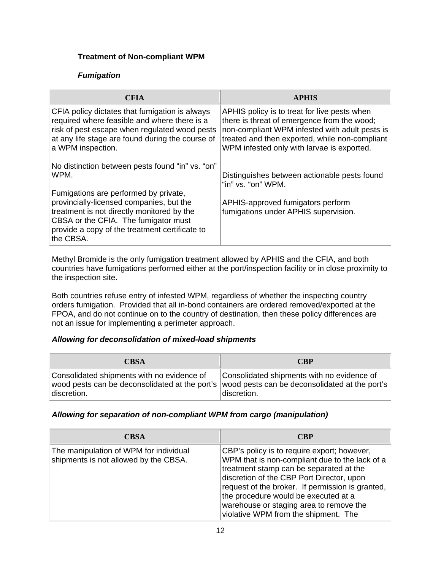### **Treatment of Non-compliant WPM**

### *Fumigation*

| <b>CFIA</b>                                                                                                                                                                                                                                                                                        | <b>APHIS</b>                                                                                                                                                                                                                                  |
|----------------------------------------------------------------------------------------------------------------------------------------------------------------------------------------------------------------------------------------------------------------------------------------------------|-----------------------------------------------------------------------------------------------------------------------------------------------------------------------------------------------------------------------------------------------|
| CFIA policy dictates that fumigation is always<br>required where feasible and where there is a<br>risk of pest escape when regulated wood pests<br>at any life stage are found during the course of<br>a WPM inspection.                                                                           | APHIS policy is to treat for live pests when<br>there is threat of emergence from the wood;<br>non-compliant WPM infested with adult pests is<br>treated and then exported, while non-compliant<br>WPM infested only with larvae is exported. |
| No distinction between pests found "in" vs. "on"<br>WPM.<br>Fumigations are performed by private,<br>provincially-licensed companies, but the<br>treatment is not directly monitored by the<br>CBSA or the CFIA. The fumigator must<br>provide a copy of the treatment certificate to<br>the CBSA. | Distinguishes between actionable pests found<br>"in" vs. "on" WPM.<br>APHIS-approved fumigators perform<br>fumigations under APHIS supervision.                                                                                               |

Methyl Bromide is the only fumigation treatment allowed by APHIS and the CFIA, and both countries have fumigations performed either at the port/inspection facility or in close proximity to the inspection site.

Both countries refuse entry of infested WPM, regardless of whether the inspecting country orders fumigation. Provided that all in-bond containers are ordered removed/exported at the FPOA, and do not continue on to the country of destination, then these policy differences are not an issue for implementing a perimeter approach.

### *Allowing for deconsolidation of mixed-load shipments*

| CBSA                                                      | <b>CBP</b>                                                                                                                                                 |
|-----------------------------------------------------------|------------------------------------------------------------------------------------------------------------------------------------------------------------|
| Consolidated shipments with no evidence of<br>discretion. | Consolidated shipments with no evidence of<br>wood pests can be deconsolidated at the port's wood pests can be deconsolidated at the port's<br>discretion. |

#### *Allowing for separation of non-compliant WPM from cargo (manipulation)*

| <b>CBSA</b>                                                                     | <b>CBP</b>                                                                                                                                                                                                                                                                                                                                                           |
|---------------------------------------------------------------------------------|----------------------------------------------------------------------------------------------------------------------------------------------------------------------------------------------------------------------------------------------------------------------------------------------------------------------------------------------------------------------|
| The manipulation of WPM for individual<br>shipments is not allowed by the CBSA. | CBP's policy is to require export; however,<br>WPM that is non-compliant due to the lack of a<br>treatment stamp can be separated at the<br>discretion of the CBP Port Director, upon<br>request of the broker. If permission is granted,<br>the procedure would be executed at a<br>warehouse or staging area to remove the<br>violative WPM from the shipment. The |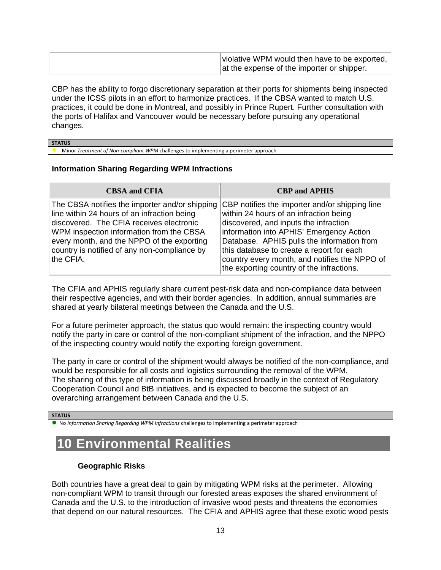| violative WPM would then have to be exported, |
|-----------------------------------------------|
| at the expense of the importer or shipper.    |

CBP has the ability to forgo discretionary separation at their ports for shipments being inspected under the ICSS pilots in an effort to harmonize practices. If the CBSA wanted to match U.S. practices, it could be done in Montreal, and possibly in Prince Rupert. Further consultation with the ports of Halifax and Vancouver would be necessary before pursuing any operational changes.

#### **STATUS**

Minor *Treatment of Non‐compliant WPM* challenges to implementing a perimeter approach

#### **Information Sharing Regarding WPM Infractions**

| <b>CBSA and CFIA</b>                                                                                                                                                                                                                                                                             | <b>CBP</b> and <b>APHIS</b>                                                                                                                                                                                                                                                                                                                                            |
|--------------------------------------------------------------------------------------------------------------------------------------------------------------------------------------------------------------------------------------------------------------------------------------------------|------------------------------------------------------------------------------------------------------------------------------------------------------------------------------------------------------------------------------------------------------------------------------------------------------------------------------------------------------------------------|
| The CBSA notifies the importer and/or shipping<br>line within 24 hours of an infraction being<br>discovered. The CFIA receives electronic<br>WPM inspection information from the CBSA<br>every month, and the NPPO of the exporting<br>country is notified of any non-compliance by<br>the CFIA. | CBP notifies the importer and/or shipping line<br>within 24 hours of an infraction being<br>discovered, and inputs the infraction<br>information into APHIS' Emergency Action<br>Database. APHIS pulls the information from<br>this database to create a report for each<br>country every month, and notifies the NPPO of<br>the exporting country of the infractions. |

The CFIA and APHIS regularly share current pest-risk data and non-compliance data between their respective agencies, and with their border agencies. In addition, annual summaries are shared at yearly bilateral meetings between the Canada and the U.S.

For a future perimeter approach, the status quo would remain: the inspecting country would notify the party in care or control of the non-compliant shipment of the infraction, and the NPPO of the inspecting country would notify the exporting foreign government.

The party in care or control of the shipment would always be notified of the non-compliance, and would be responsible for all costs and logistics surrounding the removal of the WPM. The sharing of this type of information is being discussed broadly in the context of Regulatory Cooperation Council and BtB initiatives, and is expected to become the subject of an overarching arrangement between Canada and the U.S.

#### **STATUS**

No *Information Sharing Regarding WPM Infractions* challenges to implementing a perimeter approach

# **10 Environmental Realities**

#### **Geographic Risks**

Both countries have a great deal to gain by mitigating WPM risks at the perimeter. Allowing non-compliant WPM to transit through our forested areas exposes the shared environment of Canada and the U.S. to the introduction of invasive wood pests and threatens the economies that depend on our natural resources. The CFIA and APHIS agree that these exotic wood pests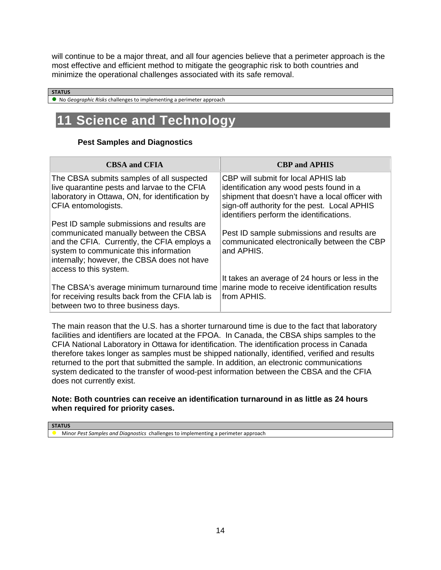will continue to be a major threat, and all four agencies believe that a perimeter approach is the most effective and efficient method to mitigate the geographic risk to both countries and minimize the operational challenges associated with its safe removal.

#### **STATUS**

No *Geographic Risks* challenges to implementing a perimeter approach

# **11 Science and Technology**

#### **Pest Samples and Diagnostics**

| <b>CBSA and CFIA</b>                                                                                                                                                                                                                                   | <b>CBP and APHIS</b>                                                                                                                                                                                                           |
|--------------------------------------------------------------------------------------------------------------------------------------------------------------------------------------------------------------------------------------------------------|--------------------------------------------------------------------------------------------------------------------------------------------------------------------------------------------------------------------------------|
| The CBSA submits samples of all suspected<br>live quarantine pests and larvae to the CFIA<br>laboratory in Ottawa, ON, for identification by<br>CFIA entomologists.                                                                                    | CBP will submit for local APHIS lab<br>identification any wood pests found in a<br>shipment that doesn't have a local officer with<br>sign-off authority for the pest. Local APHIS<br>identifiers perform the identifications. |
| Pest ID sample submissions and results are<br>communicated manually between the CBSA<br>and the CFIA. Currently, the CFIA employs a<br>system to communicate this information<br>internally; however, the CBSA does not have<br>access to this system. | Pest ID sample submissions and results are<br>communicated electronically between the CBP<br>and APHIS.                                                                                                                        |
| The CBSA's average minimum turnaround time<br>for receiving results back from the CFIA lab is<br>between two to three business days.                                                                                                                   | It takes an average of 24 hours or less in the<br>marine mode to receive identification results<br>from APHIS.                                                                                                                 |

The main reason that the U.S. has a shorter turnaround time is due to the fact that laboratory facilities and identifiers are located at the FPOA. In Canada, the CBSA ships samples to the CFIA National Laboratory in Ottawa for identification. The identification process in Canada therefore takes longer as samples must be shipped nationally, identified, verified and results returned to the port that submitted the sample. In addition, an electronic communications system dedicated to the transfer of wood-pest information between the CBSA and the CFIA does not currently exist.

### **Note: Both countries can receive an identification turnaround in as little as 24 hours when required for priority cases.**

**STATUS**

Minor *Pest Samples and Diagnostics* challenges to implementing a perimeter approach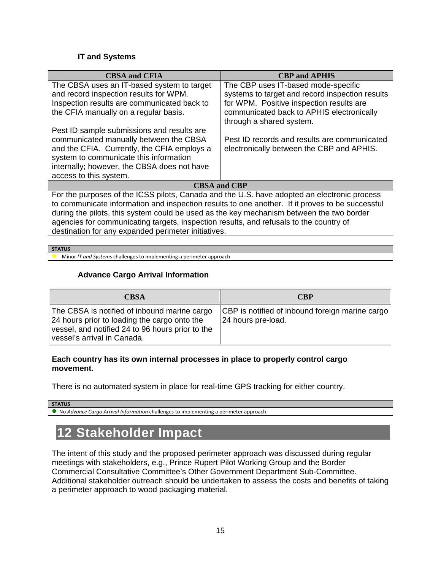### **IT and Systems**

| <b>CBSA and CFIA</b>                                                                                                                | <b>CBP</b> and <b>APHIS</b>                                                                                                        |  |
|-------------------------------------------------------------------------------------------------------------------------------------|------------------------------------------------------------------------------------------------------------------------------------|--|
| The CBSA uses an IT-based system to target<br>and record inspection results for WPM.<br>Inspection results are communicated back to | The CBP uses IT-based mode-specific<br>systems to target and record inspection results<br>for WPM. Positive inspection results are |  |
| the CFIA manually on a regular basis.                                                                                               | communicated back to APHIS electronically<br>through a shared system.                                                              |  |
| Pest ID sample submissions and results are                                                                                          |                                                                                                                                    |  |
| communicated manually between the CBSA                                                                                              | Pest ID records and results are communicated                                                                                       |  |
| and the CFIA. Currently, the CFIA employs a                                                                                         | electronically between the CBP and APHIS.                                                                                          |  |
| system to communicate this information                                                                                              |                                                                                                                                    |  |
| internally; however, the CBSA does not have                                                                                         |                                                                                                                                    |  |
| access to this system.                                                                                                              |                                                                                                                                    |  |
| <b>CBSA and CBP</b>                                                                                                                 |                                                                                                                                    |  |
| For the purposes of the ICSS pilots, Canada and the U.S. have adopted an electronic process                                         |                                                                                                                                    |  |
| to communicate information and inspection results to one another. If it proves to be successful                                     |                                                                                                                                    |  |
| during the pilots, this system could be used as the key mechanism between the two border                                            |                                                                                                                                    |  |
| agencies for communicating targets, inspection results, and refusals to the country of                                              |                                                                                                                                    |  |
| destination for any expanded perimeter initiatives.                                                                                 |                                                                                                                                    |  |

#### **STATUS**

**Minor** *IT* and Systems challenges to implementing a perimeter approach

### **Advance Cargo Arrival Information**

| <b>CBSA</b>                                                                                                                                                                     | <b>CBP</b>                                                            |
|---------------------------------------------------------------------------------------------------------------------------------------------------------------------------------|-----------------------------------------------------------------------|
| The CBSA is notified of inbound marine cargo<br>24 hours prior to loading the cargo onto the<br>vessel, and notified 24 to 96 hours prior to the<br>vessel's arrival in Canada. | CBP is notified of inbound foreign marine cargo<br>24 hours pre-load. |

#### **Each country has its own internal processes in place to properly control cargo movement.**

There is no automated system in place for real-time GPS tracking for either country.

## **STATUS**

No *Advance Cargo Arrival Information* challenges to implementing a perimeter approach

# **12 Stakeholder Impact**

The intent of this study and the proposed perimeter approach was discussed during regular meetings with stakeholders, e.g., Prince Rupert Pilot Working Group and the Border Commercial Consultative Committee's Other Government Department Sub-Committee. Additional stakeholder outreach should be undertaken to assess the costs and benefits of taking a perimeter approach to wood packaging material.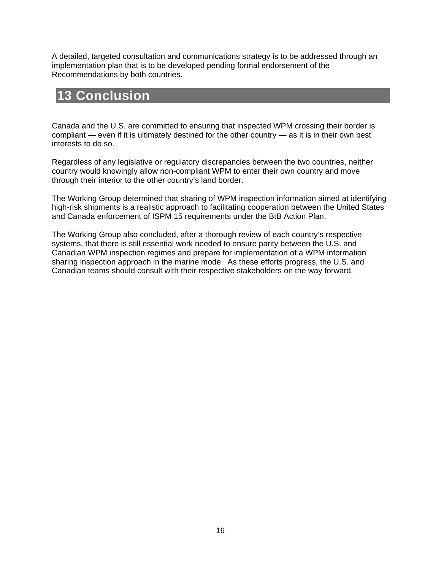A detailed, targeted consultation and communications strategy is to be addressed through an implementation plan that is to be developed pending formal endorsement of the Recommendations by both countries.

# **13 Conclusion**

Canada and the U.S. are committed to ensuring that inspected WPM crossing their border is compliant — even if it is ultimately destined for the other country — as it is in their own best interests to do so.

Regardless of any legislative or regulatory discrepancies between the two countries, neither country would knowingly allow non-compliant WPM to enter their own country and move through their interior to the other country's land border.

The Working Group determined that sharing of WPM inspection information aimed at identifying high-risk shipments is a realistic approach to facilitating cooperation between the United States and Canada enforcement of ISPM 15 requirements under the BtB Action Plan.

The Working Group also concluded, after a thorough review of each country's respective systems, that there is still essential work needed to ensure parity between the U.S. and Canadian WPM inspection regimes and prepare for implementation of a WPM information sharing inspection approach in the marine mode. As these efforts progress, the U.S. and Canadian teams should consult with their respective stakeholders on the way forward.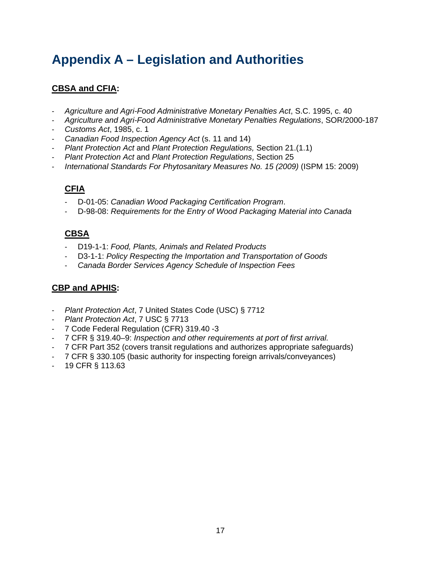# **Appendix A – Legislation and Authorities**

## **CBSA and CFIA:**

- ‐ *Agriculture and Agri-Food Administrative Monetary Penalties Act*, S.C. 1995, c. 40
- ‐ *Agriculture and Agri-Food Administrative Monetary Penalties Regulations*, SOR/2000-187
- ‐ *Customs Act*, 1985, c. 1
- ‐ *Canadian Food Inspection Agency Act* (s. 11 and 14)
- ‐ *Plant Protection Act* and *Plant Protection Regulations,* Section 21.(1.1)
- ‐ *Plant Protection Act* and *Plant Protection Regulations*, Section 25
- ‐ *International Standards For Phytosanitary Measures No. 15 (2009)* (ISPM 15: 2009)

## **CFIA**

- ‐ D-01-05: *Canadian Wood Packaging Certification Program*.
- ‐ D-98-08: *Requirements for the Entry of Wood Packaging Material into Canada*

## **CBSA**

- ‐ D19-1-1: *Food, Plants, Animals and Related Products*
- ‐ D3-1-1: *Policy Respecting the Importation and Transportation of Goods*
- ‐ *Canada Border Services Agency Schedule of Inspection Fees*

## **CBP and APHIS:**

- ‐ *Plant Protection Act*, 7 United States Code (USC) § 7712
- ‐ *Plant Protection Act*, 7 USC § 7713
- ‐ 7 Code Federal Regulation (CFR) 319.40 -3
- ‐ 7 CFR § 319.40–9: *Inspection and other requirements at port of first arrival.*
- ‐ 7 CFR Part 352 (covers transit regulations and authorizes appropriate safeguards)
- ‐ 7 CFR § 330.105 (basic authority for inspecting foreign arrivals/conveyances)
- ‐ 19 CFR § 113.63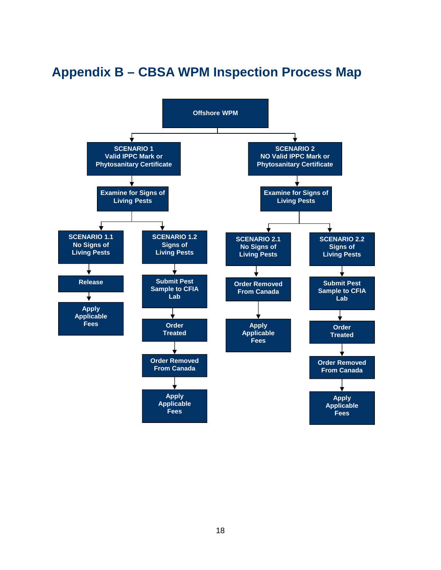# **Appendix B – CBSA WPM Inspection Process Map**